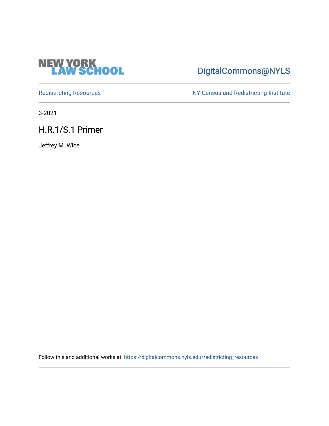

# [DigitalCommons@NYLS](https://digitalcommons.nyls.edu/)

[Redistricting Resources](https://digitalcommons.nyls.edu/redistricting_resources) NY Census and Redistricting Institute

3-2021

H.R.1/S.1 Primer

Jeffrey M. Wice

Follow this and additional works at: [https://digitalcommons.nyls.edu/redistricting\\_resources](https://digitalcommons.nyls.edu/redistricting_resources?utm_source=digitalcommons.nyls.edu%2Fredistricting_resources%2F29&utm_medium=PDF&utm_campaign=PDFCoverPages)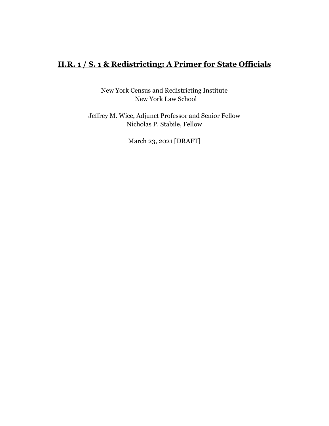## **H.R. 1 / S. 1 & Redistricting: A Primer for State Officials**

New York Census and Redistricting Institute New York Law School

Jeffrey M. Wice, Adjunct Professor and Senior Fellow Nicholas P. Stabile, Fellow

March 23, 2021 [DRAFT]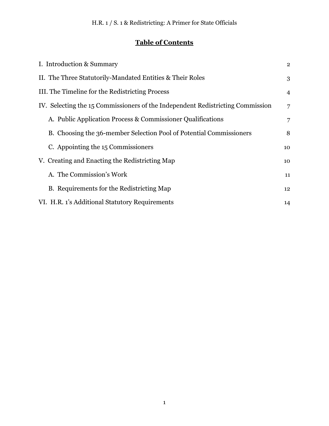# **Table of Contents**

| I. Introduction & Summary                                                      |    |  |  |  |
|--------------------------------------------------------------------------------|----|--|--|--|
| II. The Three Statutorily-Mandated Entities & Their Roles                      |    |  |  |  |
| III. The Timeline for the Redistricting Process                                |    |  |  |  |
| IV. Selecting the 15 Commissioners of the Independent Redistricting Commission |    |  |  |  |
| A. Public Application Process & Commissioner Qualifications                    | 7  |  |  |  |
| B. Choosing the 36-member Selection Pool of Potential Commissioners            | 8  |  |  |  |
| C. Appointing the 15 Commissioners                                             | 10 |  |  |  |
| V. Creating and Enacting the Redistricting Map                                 | 10 |  |  |  |
| A. The Commission's Work                                                       | 11 |  |  |  |
| B. Requirements for the Redistricting Map                                      | 12 |  |  |  |
| VI. H.R. 1's Additional Statutory Requirements                                 |    |  |  |  |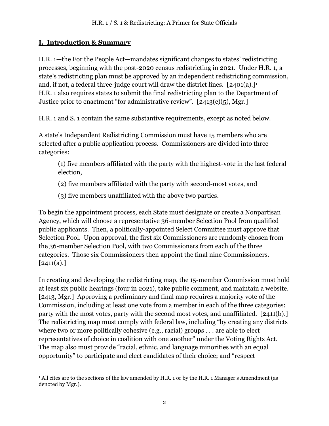#### <span id="page-3-0"></span>**I. Introduction & Summary**

H.R. 1—the For the People Act—mandates significant changes to states' redistricting processes, beginning with the post-2020 census redistricting in 2021. Under H.R. 1, a state's redistricting plan must be approved by an independent redistricting commission, and, if not, a federal three-judge court will draw the district lines.  $[2401(a).]$ <sup>1</sup> H.R. 1 also requires states to submit the final redistricting plan to the Department of Justice prior to enactment "for administrative review".  $[2413(c)(5), Mgr.]$ 

H.R. 1 and S. 1 contain the same substantive requirements, except as noted below.

A state's Independent Redistricting Commission must have 15 members who are selected after a public application process. Commissioners are divided into three categories:

(1) five members affiliated with the party with the highest-vote in the last federal election,

(2) five members affiliated with the party with second-most votes, and

(3) five members unaffiliated with the above two parties.

To begin the appointment process, each State must designate or create a Nonpartisan Agency, which will choose a representative 36-member Selection Pool from qualified public applicants. Then, a politically-appointed Select Committee must approve that Selection Pool. Upon approval, the first six Commissioners are randomly chosen from the 36-member Selection Pool, with two Commissioners from each of the three categories. Those six Commissioners then appoint the final nine Commissioners.  $[2411(a).]$ 

In creating and developing the redistricting map, the 15-member Commission must hold at least six public hearings (four in 2021), take public comment, and maintain a website. [2413, Mgr.] Approving a preliminary and final map requires a majority vote of the Commission, including at least one vote from a member in each of the three categories: party with the most votes, party with the second most votes, and unaffiliated. [2411(b).] The redistricting map must comply with federal law, including "by creating any districts where two or more politically cohesive (e.g., racial) groups . . . are able to elect representatives of choice in coalition with one another" under the Voting Rights Act. The map also must provide "racial, ethnic, and language minorities with an equal opportunity" to participate and elect candidates of their choice; and "respect

<sup>&</sup>lt;sup>1</sup> All cites are to the sections of the law amended by H.R. 1 or by the H.R. 1 Manager's Amendment (as denoted by Mgr.).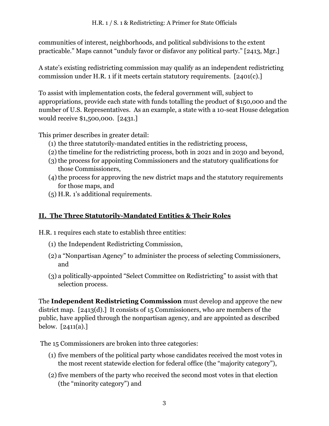communities of interest, neighborhoods, and political subdivisions to the extent practicable." Maps cannot "unduly favor or disfavor any political party." [2413, Mgr.]

A state's existing redistricting commission may qualify as an independent redistricting commission under H.R. 1 if it meets certain statutory requirements. [2401(c).]

To assist with implementation costs, the federal government will, subject to appropriations, provide each state with funds totalling the product of \$150,000 and the number of U.S. Representatives. As an example, a state with a 10-seat House delegation would receive \$1,500,000. [2431.]

This primer describes in greater detail:

- (1) the three statutorily-mandated entities in the redistricting process,
- (2) the timeline for the redistricting process, both in 2021 and in 2030 and beyond,
- (3) the process for appointing Commissioners and the statutory qualifications for those Commissioners,
- $(4)$  the process for approving the new district maps and the statutory requirements for those maps, and
- <span id="page-4-0"></span>(5) H.R. 1's additional requirements.

## **II. The Three Statutorily-Mandated Entities & Their Roles**

H.R. 1 requires each state to establish three entities:

- (1) the Independent Redistricting Commission,
- (2) a "Nonpartisan Agency" to administer the process of selecting Commissioners, and
- (3) a politically-appointed "Select Committee on Redistricting" to assist with that selection process.

The **Independent Redistricting Commission** must develop and approve the new district map. [2413(d).] It consists of 15 Commissioners, who are members of the public, have applied through the nonpartisan agency, and are appointed as described below. [2411(a).]

The 15 Commissioners are broken into three categories:

- (1) five members of the political party whose candidates received the most votes in the most recent statewide election for federal office (the "majority category"),
- (2)five members of the party who received the second most votes in that election (the "minority category") and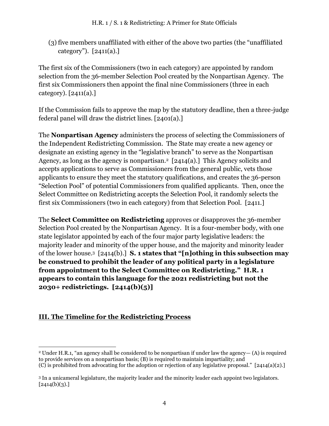(3) five members unaffiliated with either of the above two parties (the "unaffiliated category"). [2411(a).]

The first six of the Commissioners (two in each category) are appointed by random selection from the 36-member Selection Pool created by the Nonpartisan Agency. The first six Commissioners then appoint the final nine Commissioners (three in each category). [2411(a).]

If the Commission fails to approve the map by the statutory deadline, then a three-judge federal panel will draw the district lines. [2401(a).]

The **Nonpartisan Agency** administers the process of selecting the Commissioners of the Independent Redistricting Commission. The State may create a new agency or designate an existing agency in the "legislative branch" to serve as the Nonpartisan Agency, as long as the agency is nonpartisan.<sup>2</sup> [2414(a).] This Agency solicits and accepts applications to serve as Commissioners from the general public, vets those applicants to ensure they meet the statutory qualifications, and creates the 36-person "Selection Pool" of potential Commissioners from qualified applicants. Then, once the Select Committee on Redistricting accepts the Selection Pool, it randomly selects the first six Commissioners (two in each category) from that Selection Pool. [2411.]

The **Select Committee on Redistricting** approves or disapproves the 36-member Selection Pool created by the Nonpartisan Agency. It is a four-member body, with one state legislator appointed by each of the four major party legislative leaders: the majority leader and minority of the upper house, and the majority and minority leader of the lower house.3 [2414(b).] **S. 1 states that "[n]othing in this subsection may be construed to prohibit the leader of any political party in a legislature from appointment to the Select Committee on Redistricting." H.R. 1 appears to contain this language for the 2021 redistricting but not the 2030+ redistrictings. [2414(b)(5)]**

### <span id="page-5-0"></span>**III. The Timeline for the Redistricting Process**

<sup>2</sup> Under H.R.1, "an agency shall be considered to be nonpartisan if under law the agency— (A) is required to provide services on a nonpartisan basis; (B) is required to maintain impartiality; and (C) is prohibited from advocating for the adoption or rejection of any legislative proposal."  $[2414(a)(2).]$ 

<sup>3</sup> In a unicameral legislature, the majority leader and the minority leader each appoint two legislators.  $[2414(b)(3).]$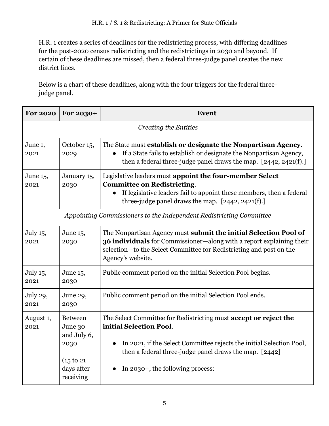H.R. 1 creates a series of deadlines for the redistricting process, with differing deadlines for the post-2020 census redistricting and the redistrictings in 2030 and beyond. If certain of these deadlines are missed, then a federal three-judge panel creates the new district lines.

Below is a chart of these deadlines, along with the four triggers for the federal threejudge panel.

| <b>For 2020</b>                                                     | For 2030+                                                                                 | Event                                                                                                                                                                                                                                                             |  |  |
|---------------------------------------------------------------------|-------------------------------------------------------------------------------------------|-------------------------------------------------------------------------------------------------------------------------------------------------------------------------------------------------------------------------------------------------------------------|--|--|
| <b>Creating the Entities</b>                                        |                                                                                           |                                                                                                                                                                                                                                                                   |  |  |
| June 1,<br>2021                                                     | October 15,<br>2029                                                                       | The State must establish or designate the Nonpartisan Agency.<br>If a State fails to establish or designate the Nonpartisan Agency,<br>then a federal three-judge panel draws the map. $[2442, 2421(f).]$                                                         |  |  |
| June 15,<br>2021                                                    | January 15,<br>2030                                                                       | Legislative leaders must appoint the four-member Select<br><b>Committee on Redistricting.</b><br>If legislative leaders fail to appoint these members, then a federal<br>three-judge panel draws the map. [2442, 2421(f).]                                        |  |  |
| Appointing Commissioners to the Independent Redistricting Committee |                                                                                           |                                                                                                                                                                                                                                                                   |  |  |
| July 15,<br>2021                                                    | June 15,<br>2030                                                                          | The Nonpartisan Agency must submit the initial Selection Pool of<br>36 individuals for Commissioner-along with a report explaining their<br>selection—to the Select Committee for Redistricting and post on the<br>Agency's website.                              |  |  |
| July 15,<br>2021                                                    | June 15,<br>2030                                                                          | Public comment period on the initial Selection Pool begins.                                                                                                                                                                                                       |  |  |
| July 29,<br>2021                                                    | June 29,<br>2030                                                                          | Public comment period on the initial Selection Pool ends.                                                                                                                                                                                                         |  |  |
| August 1,<br>2021                                                   | <b>Between</b><br>June 30<br>and July 6,<br>2030<br>(15 to 21)<br>days after<br>receiving | The Select Committee for Redistricting must accept or reject the<br>initial Selection Pool.<br>In 2021, if the Select Committee rejects the initial Selection Pool,<br>then a federal three-judge panel draws the map. [2442]<br>In 2030+, the following process: |  |  |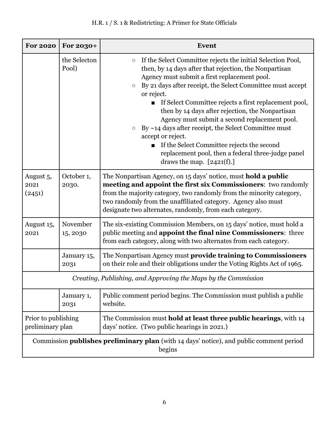## H.R. 1 / S. 1 & Redistricting: A Primer for State Officials

| <b>For 2020</b>                                                                                          | For 2030+             | <b>Event</b>                                                                                                                                                                                                                                                                                                                                                                                                                                                                                                                                                                                                                                                                    |  |  |
|----------------------------------------------------------------------------------------------------------|-----------------------|---------------------------------------------------------------------------------------------------------------------------------------------------------------------------------------------------------------------------------------------------------------------------------------------------------------------------------------------------------------------------------------------------------------------------------------------------------------------------------------------------------------------------------------------------------------------------------------------------------------------------------------------------------------------------------|--|--|
|                                                                                                          | the Selecton<br>Pool) | If the Select Committee rejects the initial Selection Pool,<br>$\bigcirc$<br>then, by 14 days after that rejection, the Nonpartisan<br>Agency must submit a first replacement pool.<br>By 21 days after receipt, the Select Committee must accept<br>$\bigcirc$<br>or reject.<br>If Select Committee rejects a first replacement pool,<br>then by 14 days after rejection, the Nonpartisan<br>Agency must submit a second replacement pool.<br>By $\sim$ 14 days after receipt, the Select Committee must<br>$\bigcirc$<br>accept or reject.<br>If the Select Committee rejects the second<br>replacement pool, then a federal three-judge panel<br>draws the map. $[2421(f).]$ |  |  |
| August 5,<br>2021<br>(2451)                                                                              | October 1,<br>2030.   | The Nonpartisan Agency, on 15 days' notice, must hold a public<br>meeting and appoint the first six Commissioners: two randomly<br>from the majority category, two randomly from the minority category,<br>two randomly from the unaffiliated category. Agency also must<br>designate two alternates, randomly, from each category.                                                                                                                                                                                                                                                                                                                                             |  |  |
| August 15,<br>2021                                                                                       | November<br>15, 2030  | The six-existing Commission Members, on 15 days' notice, must hold a<br>public meeting and appoint the final nine Commissioners: three<br>from each category, along with two alternates from each category.                                                                                                                                                                                                                                                                                                                                                                                                                                                                     |  |  |
|                                                                                                          | January 15,<br>2031   | The Nonpartisan Agency must provide training to Commissioners<br>on their role and their obligations under the Voting Rights Act of 1965.                                                                                                                                                                                                                                                                                                                                                                                                                                                                                                                                       |  |  |
| Creating, Publishing, and Approving the Maps by the Commission                                           |                       |                                                                                                                                                                                                                                                                                                                                                                                                                                                                                                                                                                                                                                                                                 |  |  |
|                                                                                                          | January 1,<br>2031    | Public comment period begins. The Commission must publish a public<br>website.                                                                                                                                                                                                                                                                                                                                                                                                                                                                                                                                                                                                  |  |  |
| Prior to publishing<br>preliminary plan                                                                  |                       | The Commission must hold at least three public hearings, with 14<br>days' notice. (Two public hearings in 2021.)                                                                                                                                                                                                                                                                                                                                                                                                                                                                                                                                                                |  |  |
| Commission <b>publishes preliminary plan</b> (with 14 days' notice), and public comment period<br>begins |                       |                                                                                                                                                                                                                                                                                                                                                                                                                                                                                                                                                                                                                                                                                 |  |  |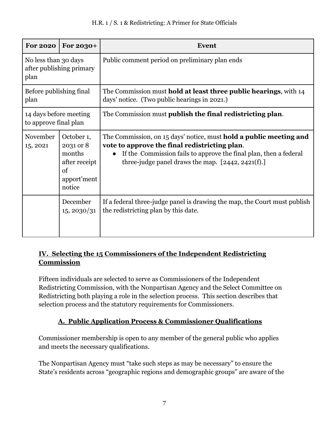| <b>For 2020</b>                                          | For 2030+                                                                         | Event                                                                                                                                                                                                                                                               |
|----------------------------------------------------------|-----------------------------------------------------------------------------------|---------------------------------------------------------------------------------------------------------------------------------------------------------------------------------------------------------------------------------------------------------------------|
| No less than 30 days<br>after publishing primary<br>plan |                                                                                   | Public comment period on preliminary plan ends                                                                                                                                                                                                                      |
| Before publishing final<br>plan                          |                                                                                   | The Commission must <b>hold at least three public hearings</b> , with 14<br>days' notice. (Two public hearings in 2021.)                                                                                                                                            |
| 14 days before meeting<br>to approve final plan          |                                                                                   | The Commission must publish the final redistricting plan.                                                                                                                                                                                                           |
| November<br>15, 2021                                     | October 1,<br>2031 or 8<br>months<br>after receipt<br>of<br>apport'ment<br>notice | The Commission, on 15 days' notice, must <b>hold a public meeting and</b><br>vote to approve the final redistricting plan.<br>If the Commission fails to approve the final plan, then a federal<br>$\bullet$<br>three-judge panel draws the map. $[2442, 2421(f).]$ |
|                                                          | December<br>15, 2030/31                                                           | If a federal three-judge panel is drawing the map, the Court must publish<br>the redistricting plan by this date.                                                                                                                                                   |

### <span id="page-8-0"></span>**IV. Selecting the 15 Commissioners of the Independent Redistricting Commission**

Fifteen individuals are selected to serve as Commissioners of the Independent Redistricting Commission, with the Nonpartisan Agency and the Select Committee on Redistricting both playing a role in the selection process. This section describes that selection process and the statutory requirements for Commissioners.

## **A. Public Application Process & Commissioner Qualifications**

<span id="page-8-1"></span>Commissioner membership is open to any member of the general public who applies and meets the necessary qualifications.

The Nonpartisan Agency must "take such steps as may be necessary" to ensure the State's residents across "geographic regions and demographic groups" are aware of the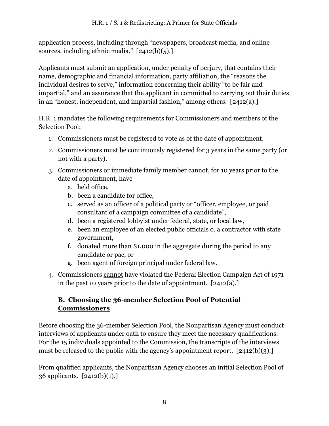application process, including through "newspapers, broadcast media, and online sources, including ethnic media." [2412(b)(5).]

Applicants must submit an application, under penalty of perjury, that contains their name, demographic and financial information, party affiliation, the "reasons the individual desires to serve," information concerning their ability "to be fair and impartial," and an assurance that the applicant in committed to carrying out their duties in an "honest, independent, and impartial fashion," among others. [2412(a).]

H.R. 1 mandates the following requirements for Commissioners and members of the Selection Pool:

- 1. Commissioners must be registered to vote as of the date of appointment.
- 2. Commissioners must be continuously registered for 3 years in the same party (or not with a party).
- 3. Commissioners or immediate family member cannot, for 10 years prior to the date of appointment, have
	- a. held office,
	- b. been a candidate for office,
	- c. served as an officer of a political party or "officer, employee, or paid consultant of a campaign committee of a candidate",
	- d. been a registered lobbyist under federal, state, or local law,
	- e. been an employee of an elected public officials o, a contractor with state government,
	- f. donated more than \$1,000 in the aggregate during the period to any candidate or pac, or
	- g. been agent of foreign principal under federal law.
- 4. Commissioners cannot have violated the Federal Election Campaign Act of 1971 in the past 10 years prior to the date of appointment. [2412(a).]

### <span id="page-9-0"></span>**B. Choosing the 36-member Selection Pool of Potential Commissioners**

Before choosing the 36-member Selection Pool, the Nonpartisan Agency must conduct interviews of applicants under oath to ensure they meet the necessary qualifications. For the 15 individuals appointed to the Commission, the transcripts of the interviews must be released to the public with the agency's appointment report. [2412(b)(3).]

From qualified applicants, the Nonpartisan Agency chooses an initial Selection Pool of 36 applicants. [2412(b)(1).]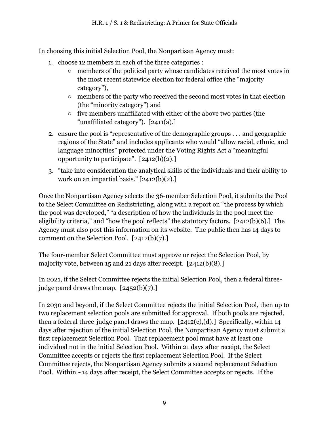In choosing this initial Selection Pool, the Nonpartisan Agency must:

- 1. choose 12 members in each of the three categories :
	- members of the political party whose candidates received the most votes in the most recent statewide election for federal office (the "majority category"),
	- members of the party who received the second most votes in that election (the "minority category") and
	- five members unaffiliated with either of the above two parties (the "unaffiliated category"). [2411(a).]
- 2. ensure the pool is "representative of the demographic groups . . . and geographic regions of the State" and includes applicants who would "allow racial, ethnic, and language minorities" protected under the Voting Rights Act a "meaningful opportunity to participate".  $[2412(b)(2).]$
- 3. "take into consideration the analytical skills of the individuals and their ability to work on an impartial basis." [2412(b)(2).]

Once the Nonpartisan Agency selects the 36-member Selection Pool, it submits the Pool to the Select Committee on Redistricting, along with a report on "the process by which the pool was developed," "a description of how the individuals in the pool meet the eligibility criteria," and "how the pool reflects" the statutory factors. [2412(b)(6).] The Agency must also post this information on its website. The public then has 14 days to comment on the Selection Pool. [2412(b)(7).]

The four-member Select Committee must approve or reject the Selection Pool, by majority vote, between 15 and 21 days after receipt. [2412(b)(8).]

In 2021, if the Select Committee rejects the initial Selection Pool, then a federal threejudge panel draws the map.  $[2452(b)(7).]$ 

In 2030 and beyond, if the Select Committee rejects the initial Selection Pool, then up to two replacement selection pools are submitted for approval. If both pools are rejected, then a federal three-judge panel draws the map.  $[2412(c),(d)]$  Specifically, within 14 days after rejection of the initial Selection Pool, the Nonpartisan Agency must submit a first replacement Selection Pool. That replacement pool must have at least one individual not in the initial Selection Pool. Within 21 days after receipt, the Select Committee accepts or rejects the first replacement Selection Pool. If the Select Committee rejects, the Nonpartisan Agency submits a second replacement Selection Pool. Within ~14 days after receipt, the Select Committee accepts or rejects. If the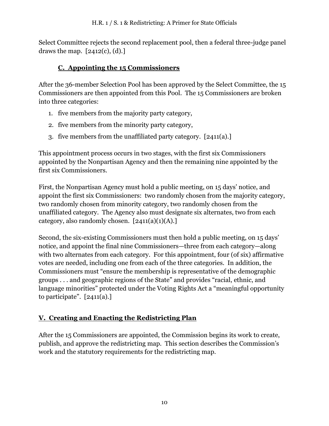Select Committee rejects the second replacement pool, then a federal three-judge panel draws the map.  $[2412(c), (d).]$ 

#### **C. Appointing the 15 Commissioners**

<span id="page-11-0"></span>After the 36-member Selection Pool has been approved by the Select Committee, the 15 Commissioners are then appointed from this Pool. The 15 Commissioners are broken into three categories:

- 1. five members from the majority party category,
- 2. five members from the minority party category,
- 3. five members from the unaffiliated party category. [2411(a).]

This appointment process occurs in two stages, with the first six Commissioners appointed by the Nonpartisan Agency and then the remaining nine appointed by the first six Commissioners.

First, the Nonpartisan Agency must hold a public meeting, on 15 days' notice, and appoint the first six Commissioners: two randomly chosen from the majority category, two randomly chosen from minority category, two randomly chosen from the unaffiliated category. The Agency also must designate six alternates, two from each category, also randomly chosen.  $[2411(a)(1)(A).]$ 

Second, the six-existing Commissioners must then hold a public meeting, on 15 days' notice, and appoint the final nine Commissioners—three from each category—along with two alternates from each category. For this appointment, four (of six) affirmative votes are needed, including one from each of the three categories. In addition, the Commissioners must "ensure the membership is representative of the demographic groups . . . and geographic regions of the State" and provides "racial, ethnic, and language minorities" protected under the Voting Rights Act a "meaningful opportunity to participate".  $[2411(a).]$ 

### <span id="page-11-1"></span>**V. Creating and Enacting the Redistricting Plan**

After the 15 Commissioners are appointed, the Commission begins its work to create, publish, and approve the redistricting map. This section describes the Commission's work and the statutory requirements for the redistricting map.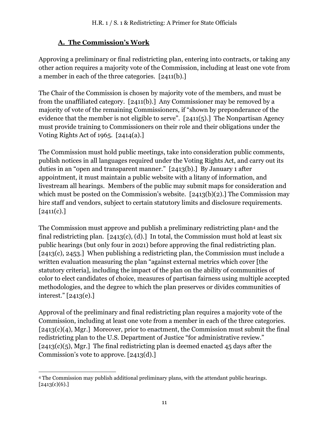## **A. The Commission's Work**

<span id="page-12-0"></span>Approving a preliminary or final redistricting plan, entering into contracts, or taking any other action requires a majority vote of the Commission, including at least one vote from a member in each of the three categories. [2411(b).]

The Chair of the Commission is chosen by majority vote of the members, and must be from the unaffiliated category. [2411(b).] Any Commissioner may be removed by a majority of vote of the remaining Commissioners, if "shown by preponderance of the evidence that the member is not eligible to serve". [2411(5).] The Nonpartisan Agency must provide training to Commissioners on their role and their obligations under the Voting Rights Act of 1965. [2414(a).]

The Commission must hold public meetings, take into consideration public comments, publish notices in all languages required under the Voting Rights Act, and carry out its duties in an "open and transparent manner." [2413(b).] By January 1 after appointment, it must maintain a public website with a litany of information, and livestream all hearings. Members of the public may submit maps for consideration and which must be posted on the Commission's website. [2413(b)(2).] The Commission may hire staff and vendors, subject to certain statutory limits and disclosure requirements.  $[2411(c).]$ 

The Commission must approve and publish a preliminary redistricting plan<sup>4</sup> and the final redistricting plan.  $[2413(c), (d).]$  In total, the Commission must hold at least six public hearings (but only four in 2021) before approving the final redistricting plan. [2413(c), 2453.] When publishing a redistricting plan, the Commission must include a written evaluation measuring the plan "against external metrics which cover [the statutory criteria], including the impact of the plan on the ability of communities of color to elect candidates of choice, measures of partisan fairness using multiple accepted methodologies, and the degree to which the plan preserves or divides communities of interest." [2413(e).]

Approval of the preliminary and final redistricting plan requires a majority vote of the Commission, including at least one vote from a member in each of the three categories. [2413(c)(4), Mgr.] Moreover, prior to enactment, the Commission must submit the final redistricting plan to the U.S. Department of Justice "for administrative review."  $[2413(c)(5),$  Mgr.] The final redistricting plan is deemed enacted 45 days after the Commission's vote to approve. [2413(d).]

<sup>4</sup> The Commission may publish additional preliminary plans, with the attendant public hearings.  $[2413(c)(6).]$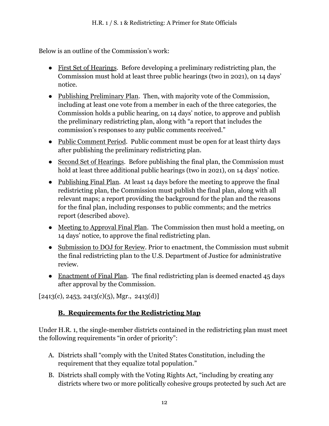Below is an outline of the Commission's work:

- First Set of Hearings. Before developing a preliminary redistricting plan, the Commission must hold at least three public hearings (two in 2021), on 14 days' notice.
- Publishing Preliminary Plan. Then, with majority vote of the Commission, including at least one vote from a member in each of the three categories, the Commission holds a public hearing, on 14 days' notice, to approve and publish the preliminary redistricting plan, along with "a report that includes the commission's responses to any public comments received."
- Public Comment Period. Public comment must be open for at least thirty days after publishing the preliminary redistricting plan.
- Second Set of Hearings. Before publishing the final plan, the Commission must hold at least three additional public hearings (two in 2021), on 14 days' notice.
- Publishing Final Plan. At least 14 days before the meeting to approve the final redistricting plan, the Commission must publish the final plan, along with all relevant maps; a report providing the background for the plan and the reasons for the final plan, including responses to public comments; and the metrics report (described above).
- Meeting to Approval Final Plan. The Commission then must hold a meeting, on 14 days' notice, to approve the final redistricting plan.
- Submission to DOJ for Review. Prior to enactment, the Commission must submit the final redistricting plan to the U.S. Department of Justice for administrative review.
- Enactment of Final Plan. The final redistricting plan is deemed enacted 45 days after approval by the Commission.

 $[2413(c), 2453, 2413(c)(5), Mgr., 2413(d)]$ 

## **B. Requirements for the Redistricting Map**

<span id="page-13-0"></span>Under H.R. 1, the single-member districts contained in the redistricting plan must meet the following requirements "in order of priority":

- A. Districts shall "comply with the United States Constitution, including the requirement that they equalize total population."
- B. Districts shall comply with the Voting Rights Act, "including by creating any districts where two or more politically cohesive groups protected by such Act are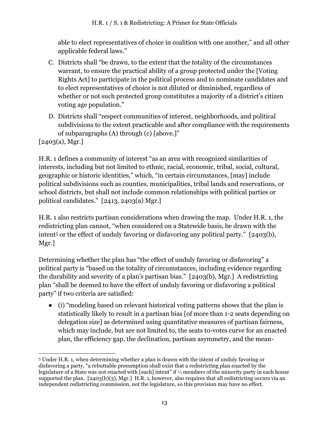able to elect representatives of choice in coalition with one another," and all other applicable federal laws."

- C. Districts shall "be drawn, to the extent that the totality of the circumstances warrant, to ensure the practical ability of a group protected under the [Voting Rights Act] to participate in the political process and to nominate candidates and to elect representatives of choice is not diluted or diminished, regardless of whether or not such protected group constitutes a majority of a district's citizen voting age population."
- D. Districts shall "respect communities of interest, neighborhoods, and political subdivisions to the extent practicable and after compliance with the requirements of subparagraphs (A) through (c) [above.]"

[2403(a), Mgr.]

H.R. 1 defines a community of interest "as an area with recognized similarities of interests, including but not limited to ethnic, racial, economic, tribal, social, cultural, geographic or historic identities," which, "in certain circumstances, [may] include political subdivisions such as counties, municipalities, tribal lands and reservations, or school districts, but shall not include common relationships with political parties or political candidates." [2413, 2403(a) Mgr.]

H.R. 1 also restricts partisan considerations when drawing the map. Under H.R. 1, the redistricting plan cannot, "when considered on a Statewide basis, be drawn with the intent<sup>5</sup> or the effect of unduly favoring or disfavoring any political party." [2403(b), Mgr.]

Determining whether the plan has "the effect of unduly favoring or disfavoring" a political party is "based on the totality of circumstances, including evidence regarding the durability and severity of a plan's partisan bias." [2403(b), Mgr.] A redistricting plan "shall be deemed to have the effect of unduly favoring or disfavoring a political party" if two criteria are satisfied:

● (i) "modeling based on relevant historical voting patterns shows that the plan is statistically likely to result in a partisan bias [of more than 1-2 seats depending on delegation size] as determined using quantitative measures of partisan fairness, which may include, but are not limited to, the seats to-votes curve for an enacted plan, the efficiency gap, the declination, partisan asymmetry, and the mean-

<sup>5</sup> Under H.R. 1, when determining whether a plan is drawn with the intent of unduly favoring or disfavoring a party, "a rebuttable presumption shall exist that a redistricting plan enacted by the legislature of a State was not enacted with [such] intent" if ⅓ members of the minority party in each house supported the plan. [2403(b)(3), Mgr.] H.R. 1, however, also requires that all redistricting occurs via an independent redistricting commission, not the legislature, so this provision may have no effect.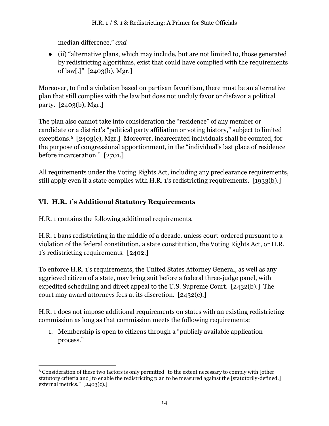median difference," *and* 

● (ii) "alternative plans, which may include, but are not limited to, those generated by redistricting algorithms, exist that could have complied with the requirements of law[.]" [2403(b), Mgr.]

Moreover, to find a violation based on partisan favoritism, there must be an alternative plan that still complies with the law but does not unduly favor or disfavor a political party. [2403(b), Mgr.]

The plan also cannot take into consideration the "residence" of any member or candidate or a district's "political party affiliation or voting history," subject to limited exceptions.6 [2403(c), Mgr.] Moreover, incarcerated individuals shall be counted, for the purpose of congressional apportionment, in the "individual's last place of residence before incarceration." [2701.]

All requirements under the Voting Rights Act, including any preclearance requirements, still apply even if a state complies with H.R. 1's redistricting requirements. [1933(b).]

## <span id="page-15-0"></span>**VI. H.R. 1's Additional Statutory Requirements**

H.R. 1 contains the following additional requirements.

H.R. 1 bans redistricting in the middle of a decade, unless court-ordered pursuant to a violation of the federal constitution, a state constitution, the Voting Rights Act, or H.R. 1's redistricting requirements. [2402.]

To enforce H.R. 1's requirements, the United States Attorney General, as well as any aggrieved citizen of a state, may bring suit before a federal three-judge panel, with expedited scheduling and direct appeal to the U.S. Supreme Court. [2432(b).] The court may award attorneys fees at its discretion. [2432(c).]

H.R. 1 does not impose additional requirements on states with an existing redistricting commission as long as that commission meets the following requirements:

1. Membership is open to citizens through a "publicly available application process."

<sup>6</sup> Consideration of these two factors is only permitted "to the extent necessary to comply with [other statutory criteria and] to enable the redistricting plan to be measured against the [statutorily-defined.] external metrics." [2403(c).]